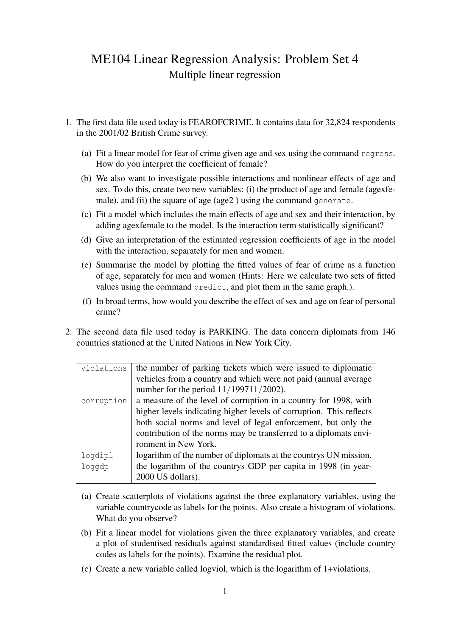## ME104 Linear Regression Analysis: Problem Set 4 Multiple linear regression

- 1. The first data file used today is FEAROFCRIME. It contains data for 32,824 respondents in the 2001/02 British Crime survey.
	- (a) Fit a linear model for fear of crime given age and sex using the command regress. How do you interpret the coefficient of female?
	- (b) We also want to investigate possible interactions and nonlinear effects of age and sex. To do this, create two new variables: (i) the product of age and female (agexfemale), and (ii) the square of age (age2) using the command generate.
	- (c) Fit a model which includes the main effects of age and sex and their interaction, by adding agexfemale to the model. Is the interaction term statistically significant?
	- (d) Give an interpretation of the estimated regression coefficients of age in the model with the interaction, separately for men and women.
	- (e) Summarise the model by plotting the fitted values of fear of crime as a function of age, separately for men and women (Hints: Here we calculate two sets of fitted values using the command predict, and plot them in the same graph.).
	- (f) In broad terms, how would you describe the effect of sex and age on fear of personal crime?
- 2. The second data file used today is PARKING. The data concern diplomats from 146 countries stationed at the United Nations in New York City.

| violations | the number of parking tickets which were issued to diplomatic       |
|------------|---------------------------------------------------------------------|
|            | vehicles from a country and which were not paid (annual average     |
|            | number for the period $11/199711/2002$ ).                           |
| corruption | a measure of the level of corruption in a country for 1998, with    |
|            | higher levels indicating higher levels of corruption. This reflects |
|            | both social norms and level of legal enforcement, but only the      |
|            | contribution of the norms may be transferred to a diplomats envi-   |
|            | ronment in New York.                                                |
| logdipl    | logarithm of the number of diplomats at the countrys UN mission.    |
| loggdp     | the logarithm of the countrys GDP per capita in 1998 (in year-      |
|            | 2000 US dollars).                                                   |

- (a) Create scatterplots of violations against the three explanatory variables, using the variable countrycode as labels for the points. Also create a histogram of violations. What do you observe?
- (b) Fit a linear model for violations given the three explanatory variables, and create a plot of studentised residuals against standardised fitted values (include country codes as labels for the points). Examine the residual plot.
- (c) Create a new variable called logviol, which is the logarithm of 1+violations.